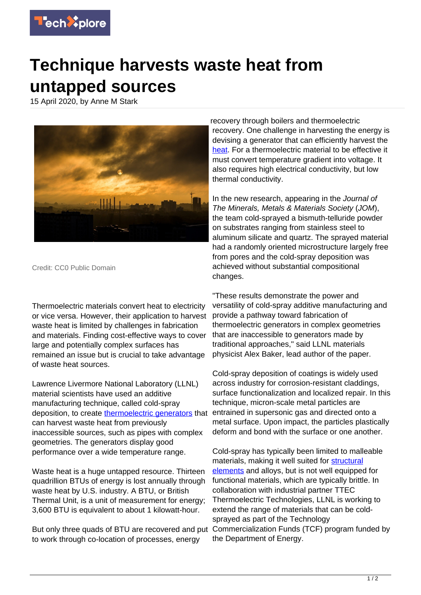

## **Technique harvests waste heat from untapped sources**

15 April 2020, by Anne M Stark



Credit: CC0 Public Domain

Thermoelectric materials convert heat to electricity or vice versa. However, their application to harvest waste heat is limited by challenges in fabrication and materials. Finding cost-effective ways to cover large and potentially complex surfaces has remained an issue but is crucial to take advantage of waste heat sources.

Lawrence Livermore National Laboratory (LLNL) material scientists have used an additive manufacturing technique, called cold-spray deposition, to create [thermoelectric generators](https://techxplore.com/tags/thermoelectric+generators/) that can harvest waste heat from previously inaccessible sources, such as pipes with complex geometries. The generators display good performance over a wide temperature range.

Waste heat is a huge untapped resource. Thirteen quadrillion BTUs of energy is lost annually through waste heat by U.S. industry. A BTU, or British Thermal Unit, is a unit of measurement for energy; 3,600 BTU is equivalent to about 1 kilowatt-hour.

to work through co-location of processes, energy

recovery through boilers and thermoelectric recovery. One challenge in harvesting the energy is devising a generator that can efficiently harvest the [heat.](https://techxplore.com/tags/heat/) For a thermoelectric material to be effective it must convert temperature gradient into voltage. It also requires high electrical conductivity, but low thermal conductivity.

In the new research, appearing in the Journal of The Minerals, Metals & Materials Society (JOM), the team cold-sprayed a bismuth-telluride powder on substrates ranging from stainless steel to aluminum silicate and quartz. The sprayed material had a randomly oriented microstructure largely free from pores and the cold-spray deposition was achieved without substantial compositional changes.

"These results demonstrate the power and versatility of cold-spray additive manufacturing and provide a pathway toward fabrication of thermoelectric generators in complex geometries that are inaccessible to generators made by traditional approaches," said LLNL materials physicist Alex Baker, lead author of the paper.

Cold-spray deposition of coatings is widely used across industry for corrosion-resistant claddings, surface functionalization and localized repair. In this technique, micron-scale metal particles are entrained in supersonic gas and directed onto a metal surface. Upon impact, the particles plastically deform and bond with the surface or one another.

But only three quads of BTU are recovered and put Commercialization Funds (TCF) program funded by Cold-spray has typically been limited to malleable materials, making it well suited for [structural](https://techxplore.com/tags/structural+elements/) [elements](https://techxplore.com/tags/structural+elements/) and alloys, but is not well equipped for functional materials, which are typically brittle. In collaboration with industrial partner TTEC Thermoelectric Technologies, LLNL is working to extend the range of materials that can be coldsprayed as part of the Technology the Department of Energy.